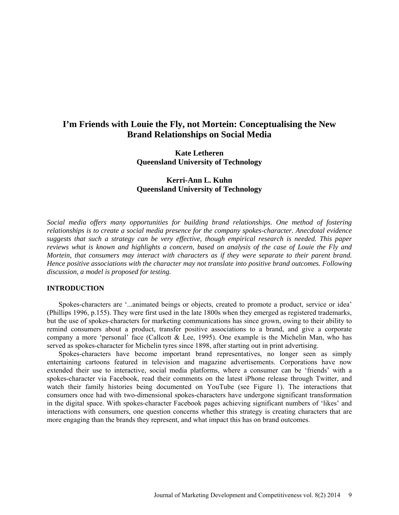# **I'm Friends with Louie the Fly, not Mortein: Conceptualising the New Brand Relationships on Social Media**

**Kate Letheren Queensland University of Technology**

# **Kerri-Ann L. Kuhn Queensland University of Technology**

*Social media offers many opportunities for building brand relationships. One method of fostering relationships is to create a social media presence for the company spokes-character. Anecdotal evidence suggests that such a strategy can be very effective, though empirical research is needed. This paper reviews what is known and highlights a concern, based on analysis of the case of Louie the Fly and Mortein, that consumers may interact with characters as if they were separate to their parent brand. Hence positive associations with the character may not translate into positive brand outcomes. Following discussion, a model is proposed for testing.*

# **INTRODUCTION**

Spokes-characters are '...animated beings or objects, created to promote a product, service or idea' (Phillips 1996, p.155). They were first used in the late 1800s when they emerged as registered trademarks, but the use of spokes-characters for marketing communications has since grown, owing to their ability to remind consumers about a product, transfer positive associations to a brand, and give a corporate company a more 'personal' face (Callcott & Lee, 1995). One example is the Michelin Man, who has served as spokes-character for Michelin tyres since 1898, after starting out in print advertising.

Spokes-characters have become important brand representatives, no longer seen as simply entertaining cartoons featured in television and magazine advertisements. Corporations have now extended their use to interactive, social media platforms, where a consumer can be 'friends' with a spokes-character via Facebook, read their comments on the latest iPhone release through Twitter, and watch their family histories being documented on YouTube (see Figure 1). The interactions that consumers once had with two-dimensional spokes-characters have undergone significant transformation in the digital space. With spokes-character Facebook pages achieving significant numbers of 'likes' and interactions with consumers, one question concerns whether this strategy is creating characters that are more engaging than the brands they represent, and what impact this has on brand outcomes.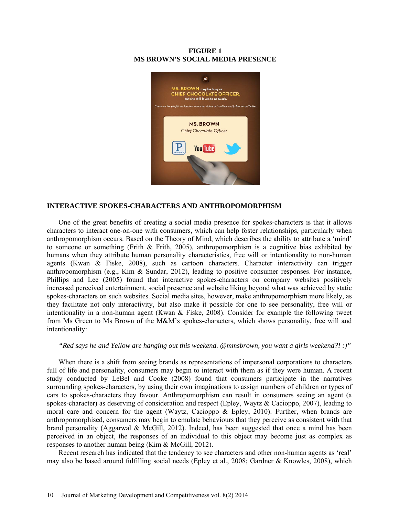# **FIGURE 1 MS BROWN'S SOCIAL MEDIA PRESENCE**



# **INTERACTIVE SPOKES-CHARACTERS AND ANTHROPOMORPHISM**

One of the great benefits of creating a social media presence for spokes-characters is that it allows characters to interact one-on-one with consumers, which can help foster relationships, particularly when anthropomorphism occurs. Based on the Theory of Mind, which describes the ability to attribute a 'mind' to someone or something (Frith & Frith, 2005), anthropomorphism is a cognitive bias exhibited by humans when they attribute human personality characteristics, free will or intentionality to non-human agents (Kwan & Fiske, 2008), such as cartoon characters. Character interactivity can trigger anthropomorphism (e.g., Kim & Sundar, 2012), leading to positive consumer responses. For instance, Phillips and Lee (2005) found that interactive spokes-characters on company websites positively increased perceived entertainment, social presence and website liking beyond what was achieved by static spokes-characters on such websites. Social media sites, however, make anthropomorphism more likely, as they facilitate not only interactivity, but also make it possible for one to see personality, free will or intentionality in a non-human agent (Kwan & Fiske, 2008). Consider for example the following tweet from Ms Green to Ms Brown of the M&M's spokes-characters, which shows personality, free will and intentionality:

#### *"Red says he and Yellow are hanging out this weekend. [@mmsbrown,](https://twitter.com/mmsbrown) you want a girls weekend?! :)"*

When there is a shift from seeing brands as representations of impersonal corporations to characters full of life and personality, consumers may begin to interact with them as if they were human. A recent study conducted by LeBel and Cooke (2008) found that consumers participate in the narratives surrounding spokes-characters, by using their own imaginations to assign numbers of children or types of cars to spokes-characters they favour. Anthropomorphism can result in consumers seeing an agent (a spokes-character) as deserving of consideration and respect (Epley, Waytz & Cacioppo, 2007), leading to moral care and concern for the agent (Waytz, Cacioppo & Epley, 2010). Further, when brands are anthropomorphised, consumers may begin to emulate behaviours that they perceive as consistent with that brand personality (Aggarwal & McGill, 2012). Indeed, has been suggested that once a mind has been perceived in an object, the responses of an individual to this object may become just as complex as responses to another human being (Kim & McGill, 2012).

Recent research has indicated that the tendency to see characters and other non-human agents as 'real' may also be based around fulfilling social needs (Epley et al., 2008; Gardner & Knowles, 2008), which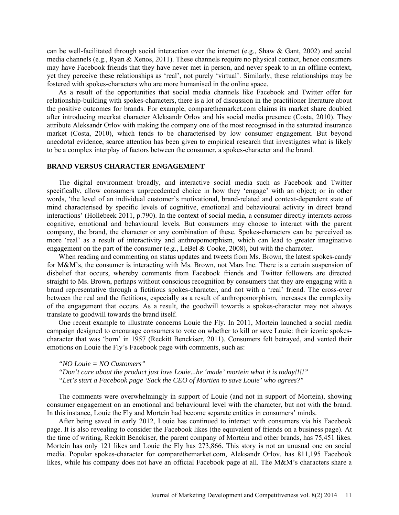can be well-facilitated through social interaction over the internet (e.g., Shaw & Gant, 2002) and social media channels (e.g., Ryan & Xenos, 2011). These channels require no physical contact, hence consumers may have Facebook friends that they have never met in person, and never speak to in an offline context, yet they perceive these relationships as 'real', not purely 'virtual'. Similarly, these relationships may be fostered with spokes-characters who are more humanised in the online space.

As a result of the opportunities that social media channels like Facebook and Twitter offer for relationship-building with spokes-characters, there is a lot of discussion in the practitioner literature about the positive outcomes for brands. For example, comparethemarket.com claims its market share doubled after introducing meerkat character Aleksandr Orlov and his social media presence (Costa, 2010). They attribute Aleksandr Orlov with making the company one of the most recognised in the saturated insurance market (Costa, 2010), which tends to be characterised by low consumer engagement. But beyond anecdotal evidence, scarce attention has been given to empirical research that investigates what is likely to be a complex interplay of factors between the consumer, a spokes-character and the brand.

# **BRAND VERSUS CHARACTER ENGAGEMENT**

The digital environment broadly, and interactive social media such as Facebook and Twitter specifically, allow consumers unprecedented choice in how they 'engage' with an object; or in other words, 'the level of an individual customer's motivational, brand-related and context-dependent state of mind characterised by specific levels of cognitive, emotional and behavioural activity in direct brand interactions' (Hollebeek 2011, p.790). In the context of social media, a consumer directly interacts across cognitive, emotional and behavioural levels. But consumers may choose to interact with the parent company, the brand, the character or any combination of these. Spokes-characters can be perceived as more 'real' as a result of interactivity and anthropomorphism, which can lead to greater imaginative engagement on the part of the consumer (e.g., LeBel & Cooke, 2008), but with the character.

When reading and commenting on status updates and tweets from Ms. Brown, the latest spokes-candy for M&M's, the consumer is interacting with Ms. Brown, not Mars Inc. There is a certain suspension of disbelief that occurs, whereby comments from Facebook friends and Twitter followers are directed straight to Ms. Brown, perhaps without conscious recognition by consumers that they are engaging with a brand representative through a fictitious spokes-character, and not with a 'real' friend. The cross-over between the real and the fictitious, especially as a result of anthropomorphism, increases the complexity of the engagement that occurs. As a result, the goodwill towards a spokes-character may not always translate to goodwill towards the brand itself.

One recent example to illustrate concerns Louie the Fly. In 2011, Mortein launched a social media campaign designed to encourage consumers to vote on whether to kill or save Louie: their iconic spokescharacter that was 'born' in 1957 (Reckitt Benckiser, 2011). Consumers felt betrayed, and vented their emotions on Louie the Fly's Facebook page with comments, such as:

*"NO Louie = NO Customers" "Don't care about the product just love Louie...he 'made' mortein what it is today!!!!" "Let's start a Facebook page 'Sack the CEO of Mortien to save Louie' who agrees?"*

The comments were overwhelmingly in support of Louie (and not in support of Mortein), showing consumer engagement on an emotional and behavioural level with the character, but not with the brand. In this instance, Louie the Fly and Mortein had become separate entities in consumers' minds.

After being saved in early 2012, Louie has continued to interact with consumers via his Facebook page. It is also revealing to consider the Facebook likes (the equivalent of friends on a business page). At the time of writing, Reckitt Benckiser, the parent company of Mortein and other brands, has 75,451 likes. Mortein has only 121 likes and Louie the Fly has 273,866. This story is not an unusual one on social media. Popular spokes-character for comparethemarket.com, Aleksandr Orlov, has 811,195 Facebook likes, while his company does not have an official Facebook page at all. The M&M's characters share a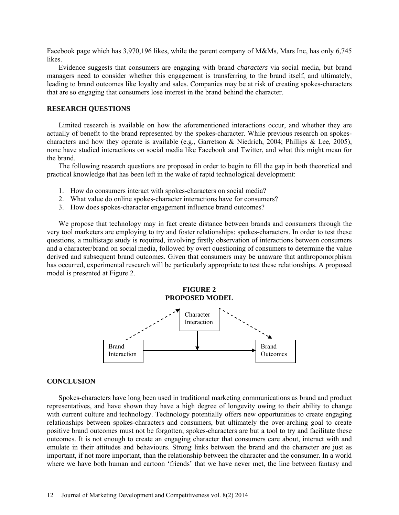Facebook page which has 3,970,196 likes, while the parent company of M&Ms, Mars Inc, has only 6,745 likes.

Evidence suggests that consumers are engaging with brand *characters* via social media, but brand managers need to consider whether this engagement is transferring to the brand itself, and ultimately, leading to brand outcomes like loyalty and sales. Companies may be at risk of creating spokes-characters that are so engaging that consumers lose interest in the brand behind the character.

### **RESEARCH QUESTIONS**

Limited research is available on how the aforementioned interactions occur, and whether they are actually of benefit to the brand represented by the spokes-character. While previous research on spokescharacters and how they operate is available (e.g., Garretson & Niedrich, 2004; Phillips & Lee, 2005), none have studied interactions on social media like Facebook and Twitter, and what this might mean for the brand.

The following research questions are proposed in order to begin to fill the gap in both theoretical and practical knowledge that has been left in the wake of rapid technological development:

- 1. How do consumers interact with spokes-characters on social media?
- 2. What value do online spokes-character interactions have for consumers?
- 3. How does spokes-character engagement influence brand outcomes?

We propose that technology may in fact create distance between brands and consumers through the very tool marketers are employing to try and foster relationships: spokes-characters. In order to test these questions, a multistage study is required, involving firstly observation of interactions between consumers and a character/brand on social media, followed by overt questioning of consumers to determine the value derived and subsequent brand outcomes. Given that consumers may be unaware that anthropomorphism has occurred, experimental research will be particularly appropriate to test these relationships. A proposed model is presented at Figure 2.

> **FIGURE 2 PROPOSED MODEL**



#### **CONCLUSION**

Spokes-characters have long been used in traditional marketing communications as brand and product representatives, and have shown they have a high degree of longevity owing to their ability to change with current culture and technology. Technology potentially offers new opportunities to create engaging relationships between spokes-characters and consumers, but ultimately the over-arching goal to create positive brand outcomes must not be forgotten; spokes-characters are but a tool to try and facilitate these outcomes. It is not enough to create an engaging character that consumers care about, interact with and emulate in their attitudes and behaviours. Strong links between the brand and the character are just as important, if not more important, than the relationship between the character and the consumer. In a world where we have both human and cartoon 'friends' that we have never met, the line between fantasy and